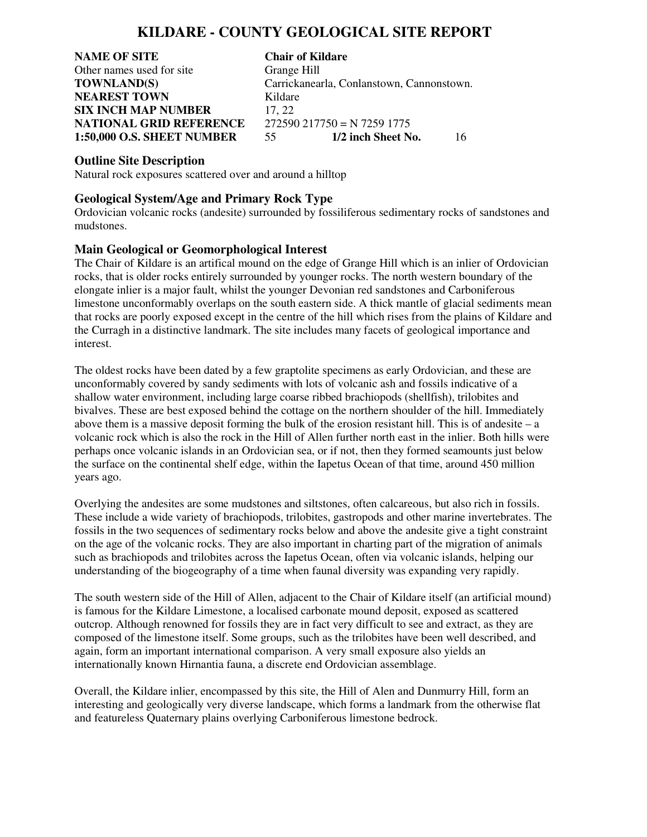# **KILDARE - COUNTY GEOLOGICAL SITE REPORT**

**NAME OF SITE Chair of Kildare** Other names used for site Grange Hill **NEAREST TOWN** Kildare **SIX INCH MAP NUMBER** 17, 22 **NATIONAL GRID REFERENCE** 272590 217750 = N 7259 1775

**TOWNLAND(S)** Carrickanearla, Conlanstown, Cannonstown. **1:50,000 O.S. SHEET NUMBER** 55 **1/2 inch Sheet No.** 16

**Outline Site Description**

Natural rock exposures scattered over and around a hilltop

## **Geological System/Age and Primary Rock Type**

Ordovician volcanic rocks (andesite) surrounded by fossiliferous sedimentary rocks of sandstones and mudstones.

### **Main Geological or Geomorphological Interest**

The Chair of Kildare is an artifical mound on the edge of Grange Hill which is an inlier of Ordovician rocks, that is older rocks entirely surrounded by younger rocks. The north western boundary of the elongate inlier is a major fault, whilst the younger Devonian red sandstones and Carboniferous limestone unconformably overlaps on the south eastern side. A thick mantle of glacial sediments mean that rocks are poorly exposed except in the centre of the hill which rises from the plains of Kildare and the Curragh in a distinctive landmark. The site includes many facets of geological importance and interest.

The oldest rocks have been dated by a few graptolite specimens as early Ordovician, and these are unconformably covered by sandy sediments with lots of volcanic ash and fossils indicative of a shallow water environment, including large coarse ribbed brachiopods (shellfish), trilobites and bivalves. These are best exposed behind the cottage on the northern shoulder of the hill. Immediately above them is a massive deposit forming the bulk of the erosion resistant hill. This is of andesite  $-a$ volcanic rock which is also the rock in the Hill of Allen further north east in the inlier. Both hills were perhaps once volcanic islands in an Ordovician sea, or if not, then they formed seamounts just below the surface on the continental shelf edge, within the Iapetus Ocean of that time, around 450 million years ago.

Overlying the andesites are some mudstones and siltstones, often calcareous, but also rich in fossils. These include a wide variety of brachiopods, trilobites, gastropods and other marine invertebrates. The fossils in the two sequences of sedimentary rocks below and above the andesite give a tight constraint on the age of the volcanic rocks. They are also important in charting part of the migration of animals such as brachiopods and trilobites across the Iapetus Ocean, often via volcanic islands, helping our understanding of the biogeography of a time when faunal diversity was expanding very rapidly.

The south western side of the Hill of Allen, adjacent to the Chair of Kildare itself (an artificial mound) is famous for the Kildare Limestone, a localised carbonate mound deposit, exposed as scattered outcrop. Although renowned for fossils they are in fact very difficult to see and extract, as they are composed of the limestone itself. Some groups, such as the trilobites have been well described, and again, form an important international comparison. A very small exposure also yields an internationally known Hirnantia fauna, a discrete end Ordovician assemblage.

Overall, the Kildare inlier, encompassed by this site, the Hill of Alen and Dunmurry Hill, form an interesting and geologically very diverse landscape, which forms a landmark from the otherwise flat and featureless Quaternary plains overlying Carboniferous limestone bedrock.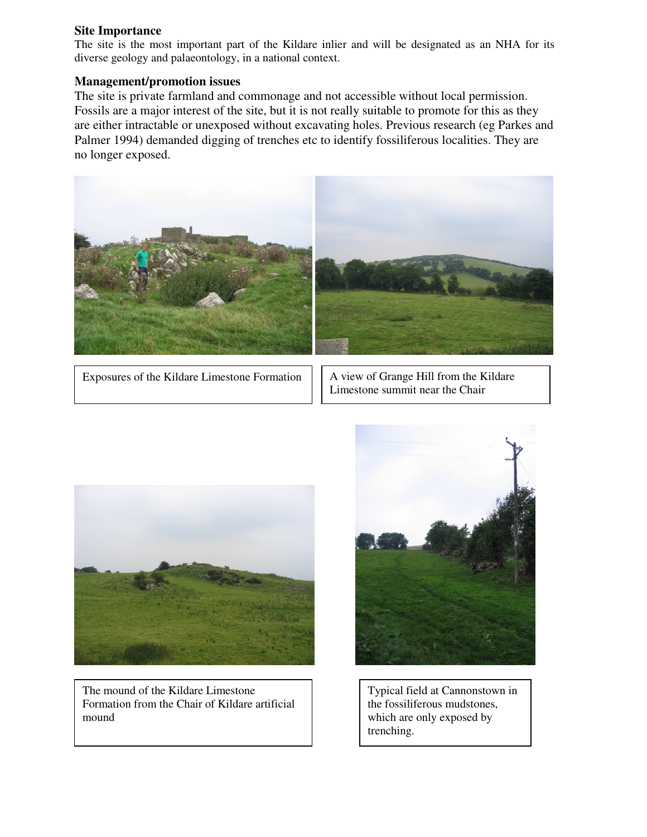#### **Site Importance**

The site is the most important part of the Kildare inlier and will be designated as an NHA for its diverse geology and palaeontology, in a national context.

# **Management/promotion issues**

The site is private farmland and commonage and not accessible without local permission. Fossils are a major interest of the site, but it is not really suitable to promote for this as they are either intractable or unexposed without excavating holes. Previous research (eg Parkes and Palmer 1994) demanded digging of trenches etc to identify fossiliferous localities. They are no longer exposed.



Exposures of the Kildare Limestone Formation  $| \cdot |$  A view of Grange Hill from the Kildare

Limestone summit near the Chair



The mound of the Kildare Limestone Formation from the Chair of Kildare artificial mound



Typical field at Cannonstown in the fossiliferous mudstones, which are only exposed by trenching.